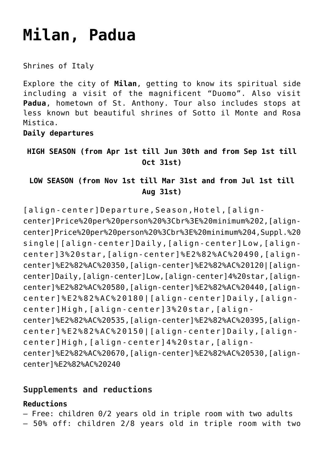# **[Milan, Padua](https://rusconiviaggi.com/tour-item/milan-and-padua-4-days/)**

Shrines of Italy

Explore the city of **Milan**, getting to know its spiritual side including a visit of the magnificent "Duomo". Also visit **Padua**, hometown of St. Anthony. Tour also includes stops at less known but beautiful shrines of Sotto il Monte and Rosa Mistica.

**Daily departures**

**HIGH SEASON (from Apr 1st till Jun 30th and from Sep 1st till Oct 31st)**

**LOW SEASON (from Nov 1st till Mar 31st and from Jul 1st till Aug 31st)**

[align-center]Departure,Season,Hotel,[aligncenter]Price%20per%20person%20%3Cbr%3E%20minimum%202,[aligncenter]Price%20per%20person%20%3Cbr%3E%20minimum%204,Suppl.%20 single|[align-center]Daily,[align-center]Low,[aligncenter]3%20star,[align-center]%E2%82%AC%20490,[aligncenter]%E2%82%AC%20350,[align-center]%E2%82%AC%20120|[aligncenter]Daily,[align-center]Low,[align-center]4%20star,[aligncenter]%E2%82%AC%20580,[align-center]%E2%82%AC%20440,[aligncenter]%E2%82%AC%20180|[align-center]Daily,[aligncenter]High,[align-center]3%20star,[aligncenter]%E2%82%AC%20535,[align-center]%E2%82%AC%20395,[aligncenter]%E2%82%AC%20150|[align-center]Daily,[aligncenter]High,[align-center]4%20star,[aligncenter]%E2%82%AC%20670,[align-center]%E2%82%AC%20530,[aligncenter]%E2%82%AC%20240

## **Supplements and reductions**

### **Reductions**

– Free: children 0/2 years old in triple room with two adults

– 50% off: children 2/8 years old in triple room with two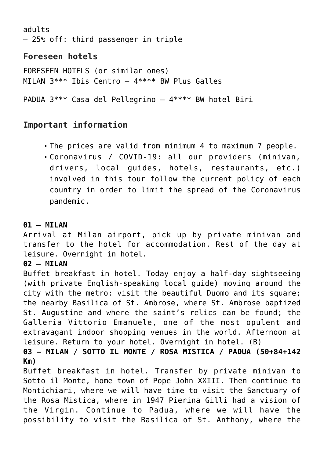adults – 25% off: third passenger in triple

# **Foreseen hotels**

FORESEEN HOTELS (or similar ones) MILAN 3\*\*\* Ibis Centro – 4\*\*\*\* BW Plus Galles

PADUA 3\*\*\* Casa del Pellegrino – 4\*\*\*\* BW hotel Biri

# **Important information**

- The prices are valid from minimum 4 to maximum 7 people.
- Coronavirus / COVID-19: all our providers (minivan, drivers, local guides, hotels, restaurants, etc.) involved in this tour follow the current policy of each country in order to limit the spread of the Coronavirus pandemic.

#### **01 – MILAN**

Arrival at Milan airport, pick up by private minivan and transfer to the hotel for accommodation. Rest of the day at leisure. Overnight in hotel.

#### **02 – MILAN**

Buffet breakfast in hotel. Today enjoy a half-day sightseeing (with private English-speaking local guide) moving around the city with the metro: visit the beautiful Duomo and its square; the nearby Basilica of St. Ambrose, where St. Ambrose baptized St. Augustine and where the saint's relics can be found; the Galleria Vittorio Emanuele, one of the most opulent and extravagant indoor shopping venues in the world. Afternoon at leisure. Return to your hotel. Overnight in hotel. (B)

**03 – MILAN / SOTTO IL MONTE / ROSA MISTICA / PADUA (50+84+142 Km)**

Buffet breakfast in hotel. Transfer by private minivan to Sotto il Monte, home town of Pope John XXIII. Then continue to Montichiari, where we will have time to visit the Sanctuary of the Rosa Mistica, where in 1947 Pierina Gilli had a vision of the Virgin. Continue to Padua, where we will have the possibility to visit the Basilica of St. Anthony, where the